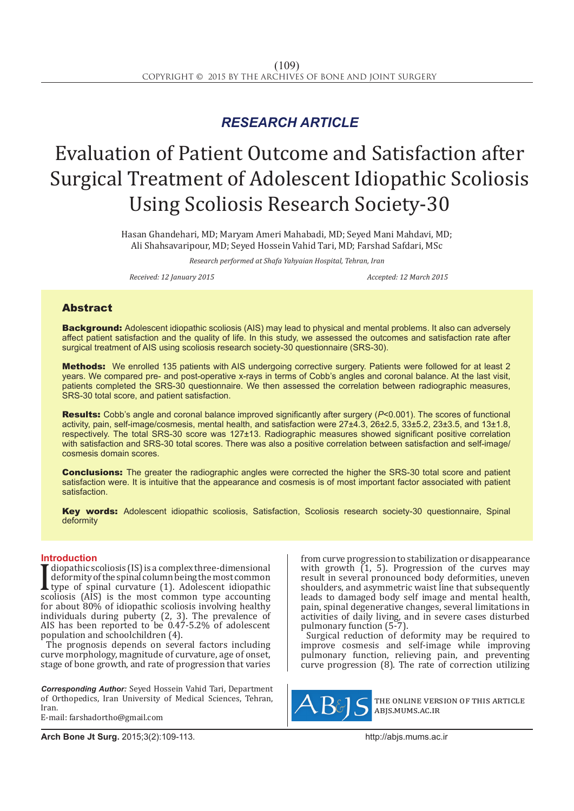# *RESEARCH ARTICLE*

# Evaluation of Patient Outcome and Satisfaction after Surgical Treatment of Adolescent Idiopathic Scoliosis Using Scoliosis Research Society-30

Hasan Ghandehari, MD; Maryam Ameri Mahabadi, MD; Seyed Mani Mahdavi, MD; Ali Shahsavaripour, MD; Seyed Hossein Vahid Tari, MD; Farshad Safdari, MSc

*Research performed at Shafa Yahyaian Hospital, Tehran, Iran*

*Received: 12 January 2015 Accepted: 12 March 2015*

# Abstract

**Background:** Adolescent idiopathic scoliosis (AIS) may lead to physical and mental problems. It also can adversely affect patient satisfaction and the quality of life. In this study, we assessed the outcomes and satisfaction rate after surgical treatment of AIS using scoliosis research society-30 questionnaire (SRS-30).

Methods: We enrolled 135 patients with AIS undergoing corrective surgery. Patients were followed for at least 2 years. We compared pre- and post-operative x-rays in terms of Cobb's angles and coronal balance. At the last visit, patients completed the SRS-30 questionnaire. We then assessed the correlation between radiographic measures, SRS-30 total score, and patient satisfaction.

Results: Cobb's angle and coronal balance improved significantly after surgery (*P*<0.001). The scores of functional activity, pain, self-image/cosmesis, mental health, and satisfaction were 27±4.3, 26±2.5, 33±5.2, 23±3.5, and 13±1.8, respectively. The total SRS-30 score was 127±13. Radiographic measures showed significant positive correlation with satisfaction and SRS-30 total scores. There was also a positive correlation between satisfaction and self-image/ cosmesis domain scores.

**Conclusions:** The greater the radiographic angles were corrected the higher the SRS-30 total score and patient satisfaction were. It is intuitive that the appearance and cosmesis is of most important factor associated with patient satisfaction.

Key words: Adolescent idiopathic scoliosis, Satisfaction, Scoliosis research society-30 questionnaire, Spinal deformity

## **Introduction**

 $\prod_{\substack{SC(} \text{for } C \leq C \leq C \leq C}$ diopathic scoliosis (IS) is a complex three-dimensional deformity of the spinal column being the most common type of spinal curvature (1). Adolescent idiopathic scoliosis (AIS) is the most common type accounting for about 80% of idiopathic scoliosis involving healthy individuals during puberty (2, 3). The prevalence of AIS has been reported to be 0.47-5.2% of adolescent population and schoolchildren (4).

The prognosis depends on several factors including curve morphology, magnitude of curvature, age of onset, stage of bone growth, and rate of progression that varies

*Corresponding Author:* Seyed Hossein Vahid Tari, Department of Orthopedics, Iran University of Medical Sciences, Tehran, Iran.

E-mail: farshadortho@gmail.com

**Arch Bone Jt Surg.** 2015;3(2):109-113.http://abjs.mums.ac.ir

from curve progression to stabilization or disappearance with growth  $(1, 5)$ . Progression of the curves may result in several pronounced body deformities, uneven shoulders, and asymmetric waist line that subsequently leads to damaged body self image and mental health, pain, spinal degenerative changes, several limitations in activities of daily living, and in severe cases disturbed pulmonary function (5-7).

Surgical reduction of deformity may be required to improve cosmesis and self-image while improving pulmonary function, relieving pain, and preventing curve progression (8). The rate of correction utilizing



the online version of this article abjs.mums.ac.ir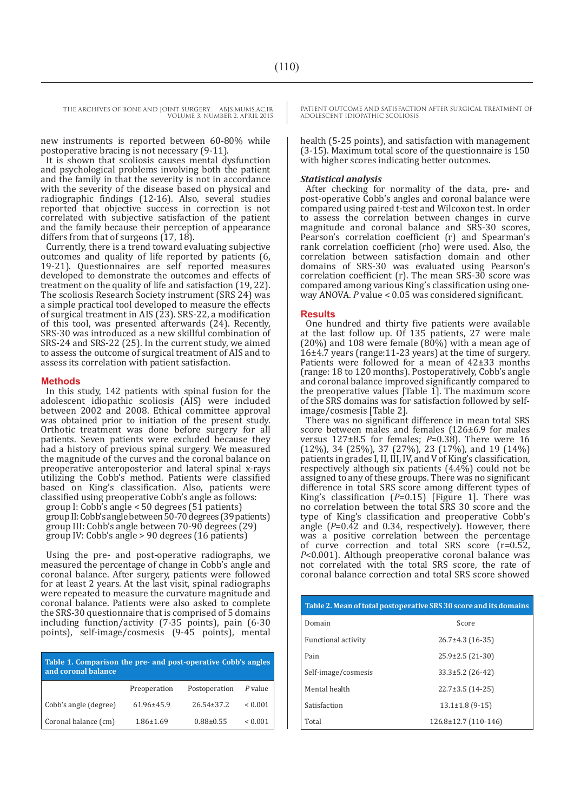THE ARCHIVES OF BONE AND JOINT SURGERY. ABJS.MUMS.AC.IR VOLUME 3. NUMBER 2. APRIL 2015

new instruments is reported between 60-80% while postoperative bracing is not necessary (9-11).

It is shown that scoliosis causes mental dysfunction and psychological problems involving both the patient and the family in that the severity is not in accordance with the severity of the disease based on physical and radiographic findings (12-16). Also, several studies reported that objective success in correction is not correlated with subjective satisfaction of the patient and the family because their perception of appearance differs from that of surgeons  $(17, 18)$ .

Currently, there is a trend toward evaluating subjective outcomes and quality of life reported by patients (6, 19-21). Questionnaires are self reported measures developed to demonstrate the outcomes and effects of treatment on the quality of life and satisfaction (19, 22). The scoliosis Research Society instrument (SRS 24) was a simple practical tool developed to measure the effects of surgical treatment in AIS (23). SRS-22, a modification of this tool, was presented afterwards (24). Recently, SRS-30 was introduced as a new skillful combination of SRS-24 and SRS-22 (25). In the current study, we aimed to assess the outcome of surgical treatment of AIS and to assess its correlation with patient satisfaction.

#### **Methods**

In this study, 142 patients with spinal fusion for the adolescent idiopathic scoliosis (AIS) were included between 2002 and 2008. Ethical committee approval was obtained prior to initiation of the present study. Orthotic treatment was done before surgery for all patients. Seven patients were excluded because they had a history of previous spinal surgery. We measured the magnitude of the curves and the coronal balance on preoperative anteroposterior and lateral spinal x-rays utilizing the Cobb's method. Patients were classified based on King's classification. Also, patients were classified using preoperative Cobb's angle as follows: group I: Cobb's angle < 50 degrees (51 patients) group II: Cobb's angle between 50-70 degrees (39 patients) group III: Cobb's angle between 70-90 degrees (29) group IV: Cobb's angle > 90 degrees (16 patients)

Using the pre- and post-operative radiographs, we measured the percentage of change in Cobb's angle and coronal balance. After surgery, patients were followed for at least 2 years. At the last visit, spinal radiographs were repeated to measure the curvature magnitude and coronal balance. Patients were also asked to complete the SRS-30 questionnaire that is comprised of 5 domains including function/activity (7-35 points), pain (6-30 points), self-image/cosmesis (9-45 points), mental

| Table 1. Comparison the pre- and post-operative Cobb's angles<br>and coronal balance |                  |                  |              |
|--------------------------------------------------------------------------------------|------------------|------------------|--------------|
|                                                                                      | Preoperation     | Postoperation    | P value      |
| Cobb's angle (degree)                                                                | $61.96 \pm 45.9$ | $26.54 \pm 37.2$ | ${}_{0.001}$ |
| Coronal balance (cm)                                                                 | $1.86 \pm 1.69$  | $0.88 \pm 0.55$  | ${}_{0.001}$ |

PATIENT OUTCOME AND SATISFACTION AFTER SURGICAL TREATMENT OF ADOLESCENT IDIOPATHIC SCOLIOSIS

health (5-25 points), and satisfaction with management (3-15). Maximum total score of the questionnaire is 150 with higher scores indicating better outcomes.

#### *Statistical analysis*

After checking for normality of the data, pre- and post-operative Cobb's angles and coronal balance were compared using paired t-test and Wilcoxon test. In order to assess the correlation between changes in curve magnitude and coronal balance and SRS-30 scores, Pearson's correlation coefficient (r) and Spearman's rank correlation coefficient (rho) were used. Also, the correlation between satisfaction domain and other domains of SRS-30 was evaluated using Pearson's correlation coefficient (r). The mean SRS-30 score was compared among various King's classification using oneway ANOVA. *P* value < 0.05 was considered significant.

#### **Results**

One hundred and thirty five patients were available at the last follow up. Of 135 patients, 27 were male  $(20%)$  and 108 were female  $(80%)$  with a mean age of 16±4.7 years (range:11-23 years) at the time of surgery. Patients were followed for a mean of 42±33 months (range: 18 to 120 months). Postoperatively, Cobb's angle and coronal balance improved significantly compared to the preoperative values [Table 1]. The maximum score of the SRS domains was for satisfaction followed by selfimage/cosmesis [Table 2].

There was no significant difference in mean total SRS score between males and females (126±6.9 for males versus 127±8.5 for females; *P*=0.38). There were 16  $(12\%)$ , 34  $(25\%)$ , 37  $(27\%)$ , 23  $(17\%)$ , and 19  $(14\%)$ patients in grades I, II, III, IV, and V of King's classification, respectively although six patients (4.4%) could not be assigned to any of these groups. There was no significant difference in total SRS score among different types of King's classification (*P*=0.15) [Figure 1]. There was no correlation between the total SRS 30 score and the type of King's classification and preoperative Cobb's angle (*P*=0.42 and 0.34, respectively). However, there was a positive correlation between the percentage of curve correction and total SRS score (r=0.52, *P*<0.001). Although preoperative coronal balance was not correlated with the total SRS score, the rate of coronal balance correction and total SRS score showed

| Table 2. Mean of total postoperative SRS 30 score and its domains |                        |  |
|-------------------------------------------------------------------|------------------------|--|
| Domain                                                            | Score                  |  |
| <b>Functional activity</b>                                        | $26.7\pm4.3$ (16-35)   |  |
| Pain                                                              | $25.9\pm2.5(21-30)$    |  |
| Self-image/cosmesis                                               | $33.3 \pm 5.2$ (26-42) |  |
| Mental health                                                     | $22.7\pm3.5(14-25)$    |  |
| Satisfaction                                                      | $13.1 \pm 1.8$ (9-15)  |  |
| Total                                                             | 126.8±12.7 (110-146)   |  |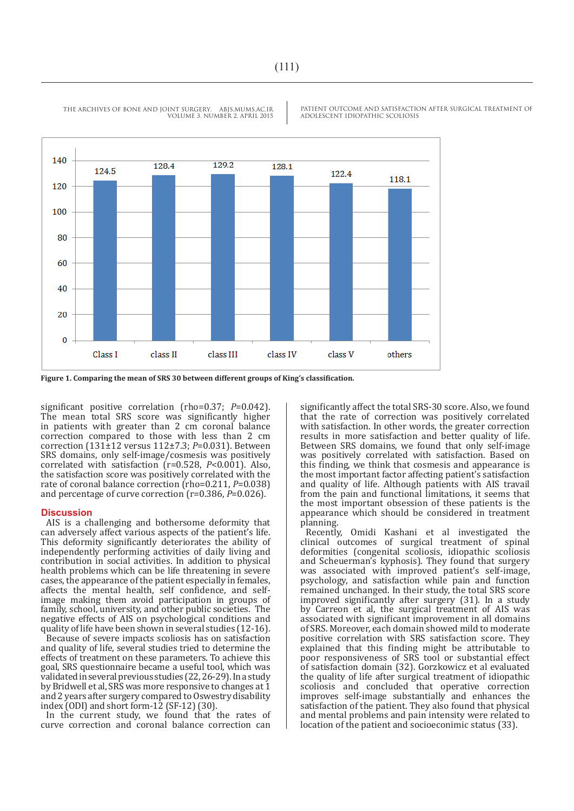140 129.2 128.4 128.1 124.5 122.4 1181 120 100 80 60 40 20  $\mathbf{0}$ Class I class II class III class IV class V others

THE ARCHIVES OF BONE AND JOINT SURGERY. ABJS.MUMS.AC.IR VOLUME 3. NUMBER 2. APRIL 2015 PATIENT OUTCOME AND SATISFACTION AFTER SURGICAL TREATMENT OF ADOLESCENT IDIOPATHIC SCOLIOSIS

significant positive correlation (rho=0.37; *P*=0.042). The mean total SRS score was significantly higher in patients with greater than 2 cm coronal balance correction compared to those with less than 2 cm correction (131±12 versus 112±7.3; *P*=0.031). Between SRS domains, only self-image/cosmesis was positively correlated with satisfaction (r=0.528, *P*<0.001). Also, the satisfaction score was positively correlated with the rate of coronal balance correction (rho=0.211, *P*=0.038) and percentage of curve correction (r=0.386, *P*=0.026).

## **Discussion**

AIS is a challenging and bothersome deformity that can adversely affect various aspects of the patient's life. This deformity significantly deteriorates the ability of independently performing activities of daily living and contribution in social activities. In addition to physical health problems which can be life threatening in severe cases, the appearance of the patient especially in females, affects the mental health, self confidence, and selfimage making them avoid participation in groups of family, school, university, and other public societies. The negative effects of AIS on psychological conditions and quality of life have been shown in several studies (12-16).

Because of severe impacts scoliosis has on satisfaction and quality of life, several studies tried to determine the effects of treatment on these parameters. To achieve this goal, SRS questionnaire became a useful tool, which was validated in several previous studies (22, 26-29). In a study by Bridwell et al, SRS was more responsive to changes at 1 and 2 years after surgery compared to Oswestry disability index (ODI) and short form-12 (SF-12) (30).

In the current study, we found that the rates of curve correction and coronal balance correction can significantly affect the total SRS-30 score. Also, we found that the rate of correction was positively correlated with satisfaction. In other words, the greater correction results in more satisfaction and better quality of life. Between SRS domains, we found that only self-image was positively correlated with satisfaction. Based on this finding, we think that cosmesis and appearance is the most important factor affecting patient's satisfaction and quality of life. Although patients with AIS travail from the pain and functional limitations, it seems that the most important obsession of these patients is the appearance which should be considered in treatment planning.

Recently, Omidi Kashani et al investigated the clinical outcomes of surgical treatment of spinal deformities (congenital scoliosis, idiopathic scoliosis and Scheuerman's kyphosis). They found that surgery was associated with improved patient's self-image, psychology, and satisfaction while pain and function remained unchanged. In their study, the total SRS score improved significantly after surgery (31). In a study by Carreon et al, the surgical treatment of AIS was associated with significant improvement in all domains of SRS. Moreover, each domain showed mild to moderate positive correlation with SRS satisfaction score. They explained that this finding might be attributable to poor responsiveness of SRS tool or substantial effect of satisfaction domain (32). Gorzkowicz et al evaluated the quality of life after surgical treatment of idiopathic scoliosis and concluded that operative correction improves self-image substantially and enhances the satisfaction of the patient. They also found that physical and mental problems and pain intensity were related to location of the patient and socioeconimic status (33).

**Figure 1. Comparing the mean of SRS 30 between different groups of King's classification.**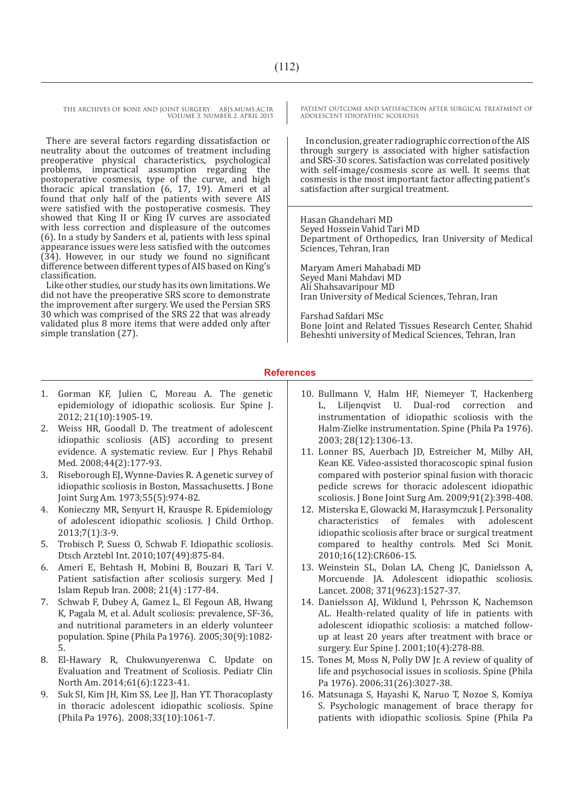THE ARCHIVES OF BONE AND JOINT SURGERY. ABJS.MUMS.AC.IR VOLUME 3. NUMBER 2. APRIL 2015

There are several factors regarding dissatisfaction or neutrality about the outcomes of treatment including preoperative physical characteristics, psychological problems, impractical assumption regarding postoperative cosmesis, type of the curve, and high thoracic apical translation (6, 17, 19). Ameri et al found that only half of the patients with severe AIS were satisfied with the postoperative cosmesis. They showed that King II or King IV curves are associated with less correction and displeasure of the outcomes (6). In a study by Sanders et al, patients with less spinal appearance issues were less satisfied with the outcomes (34). However, in our study we found no significant difference between different types of AIS based on King's classification.

Like other studies, our study has its own limitations. We did not have the preoperative SRS score to demonstrate the improvement after surgery. We used the Persian SRS 30 which was comprised of the SRS 22 that was already validated plus 8 more items that were added only after simple translation (27).

1. Gorman KF, Julien C, Moreau A. The genetic epidemiology of idiopathic scoliosis. Eur Spine J. 2012; 21(10):1905-19.

- 2. Weiss HR, Goodall D. The treatment of adolescent idiopathic scoliosis (AIS) according to present evidence. A systematic review. Eur J Phys Rehabil Med. 2008;44(2):177-93.
- 3. Riseborough EJ, Wynne-Davies R. A genetic survey of idiopathic scoliosis in Boston, Massachusetts. J Bone Joint Surg Am. 1973;55(5):974-82.
- 4. Konieczny MR, Senyurt H, Krauspe R. Epidemiology of adolescent idiopathic scoliosis. J Child Orthop. 2013;7(1):3-9.
- 5. Trobisch P, Suess O, Schwab F. Idiopathic scoliosis. Dtsch Arztebl Int. 2010;107(49):875-84.
- 6. Ameri E, Behtash H, Mobini B, Bouzari B, Tari V. Patient satisfaction after scoliosis surgery. Med J Islam Repub Iran. 2008; 21(4) :177-84.
- 7. Schwab F, Dubey A, Gamez L, El Fegoun AB, Hwang K, Pagala M, et al. Adult scoliosis: prevalence, SF-36, and nutritional parameters in an elderly volunteer population. Spine (Phila Pa 1976). 2005;30(9):1082- 5.
- 8. El-Hawary R, Chukwunyerenwa C. Update on Evaluation and Treatment of Scoliosis. Pediatr Clin North Am. 2014;61(6):1223-41.
- 9. Suk SI, Kim JH, Kim SS, Lee JJ, Han YT. Thoracoplasty in thoracic adolescent idiopathic scoliosis. Spine (Phila Pa 1976). 2008;33(10):1061-7.

PATIENT OUTCOME AND SATISFACTION AFTER SURGICAL TREATMENT OF ADOLESCENT IDIOPATHIC SCOLIOSIS

In conclusion, greater radiographic correction of the AIS through surgery is associated with higher satisfaction and SRS-30 scores. Satisfaction was correlated positively with self-image/cosmesis score as well. It seems that cosmesis is the most important factor affecting patient's satisfaction after surgical treatment.

Hasan Ghandehari MD Seyed Hossein Vahid Tari MD Department of Orthopedics, Iran University of Medical Sciences, Tehran, Iran

Maryam Ameri Mahabadi MD Seyed Mani Mahdavi MD Ali Shahsavaripour MD Iran University of Medical Sciences, Tehran, Iran

Farshad Safdari MSc

Bone Joint and Related Tissues Research Center, Shahid Beheshti university of Medical Sciences, Tehran, Iran

# **References**

- 10. Bullmann V, Halm HF, Niemeyer T, Hackenberg L, Liljenqvist U. Dual-rod correction instrumentation of idiopathic scoliosis with the Halm-Zielke instrumentation. Spine (Phila Pa 1976). 2003; 28(12):1306-13.
- 11. Lonner BS, Auerbach JD, Estreicher M, Milby AH, Kean KE. Video-assisted thoracoscopic spinal fusion compared with posterior spinal fusion with thoracic pedicle screws for thoracic adolescent idiopathic scoliosis. J Bone Joint Surg Am. 2009;91(2):398-408.
- 12. Misterska E, Glowacki M, Harasymczuk J. Personality<br>characteristics of females with adolescent characteristics idiopathic scoliosis after brace or surgical treatment compared to healthy controls. Med Sci Monit. 2010;16(12):CR606-15.
- 13. Weinstein SL, Dolan LA, Cheng JC, Danielsson A, Morcuende JA. Adolescent idiopathic scoliosis. Lancet. 2008; 371(9623):1527-37.
- 14. Danielsson AJ, Wiklund I, Pehrsson K, Nachemson AL. Health-related quality of life in patients with adolescent idiopathic scoliosis: a matched followup at least 20 years after treatment with brace or surgery. Eur Spine J. 2001;10(4):278-88.
- 15. Tones M, Moss N, Polly DW Jr. A review of quality of life and psychosocial issues in scoliosis. Spine (Phila Pa 1976). 2006;31(26):3027-38.
- 16. Matsunaga S, Hayashi K, Naruo T, Nozoe S, Komiya S. Psychologic management of brace therapy for patients with idiopathic scoliosis. Spine (Phila Pa